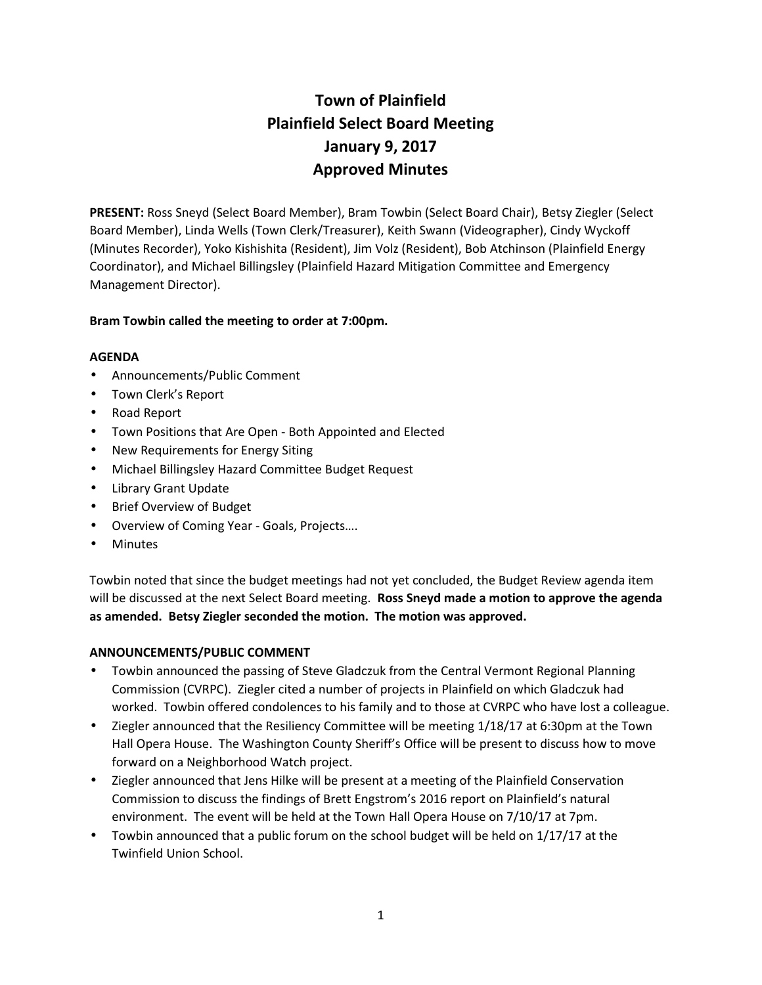# **Town of Plainfield Plainfield Select Board Meeting January 9, 2017 Approved Minutes**

**PRESENT:** Ross Sneyd (Select Board Member), Bram Towbin (Select Board Chair), Betsy Ziegler (Select Board Member), Linda Wells (Town Clerk/Treasurer), Keith Swann (Videographer), Cindy Wyckoff (Minutes Recorder), Yoko Kishishita (Resident), Jim Volz (Resident), Bob Atchinson (Plainfield Energy Coordinator), and Michael Billingsley (Plainfield Hazard Mitigation Committee and Emergency Management Director).

# **Bram Towbin called the meeting to order at 7:00pm.**

#### **AGENDA**

- Announcements/Public Comment
- Town Clerk's Report
- Road Report
- Town Positions that Are Open Both Appointed and Elected
- New Requirements for Energy Siting
- Michael Billingsley Hazard Committee Budget Request
- Library Grant Update
- Brief Overview of Budget
- Overview of Coming Year Goals, Projects….
- Minutes

Towbin noted that since the budget meetings had not yet concluded, the Budget Review agenda item will be discussed at the next Select Board meeting. **Ross Sneyd made a motion to approve the agenda as amended. Betsy Ziegler seconded the motion. The motion was approved.**

#### **ANNOUNCEMENTS/PUBLIC COMMENT**

- Towbin announced the passing of Steve Gladczuk from the Central Vermont Regional Planning Commission (CVRPC). Ziegler cited a number of projects in Plainfield on which Gladczuk had worked. Towbin offered condolences to his family and to those at CVRPC who have lost a colleague.
- Ziegler announced that the Resiliency Committee will be meeting 1/18/17 at 6:30pm at the Town Hall Opera House. The Washington County Sheriff's Office will be present to discuss how to move forward on a Neighborhood Watch project.
- Ziegler announced that Jens Hilke will be present at a meeting of the Plainfield Conservation Commission to discuss the findings of Brett Engstrom's 2016 report on Plainfield's natural environment. The event will be held at the Town Hall Opera House on 7/10/17 at 7pm.
- Towbin announced that a public forum on the school budget will be held on 1/17/17 at the Twinfield Union School.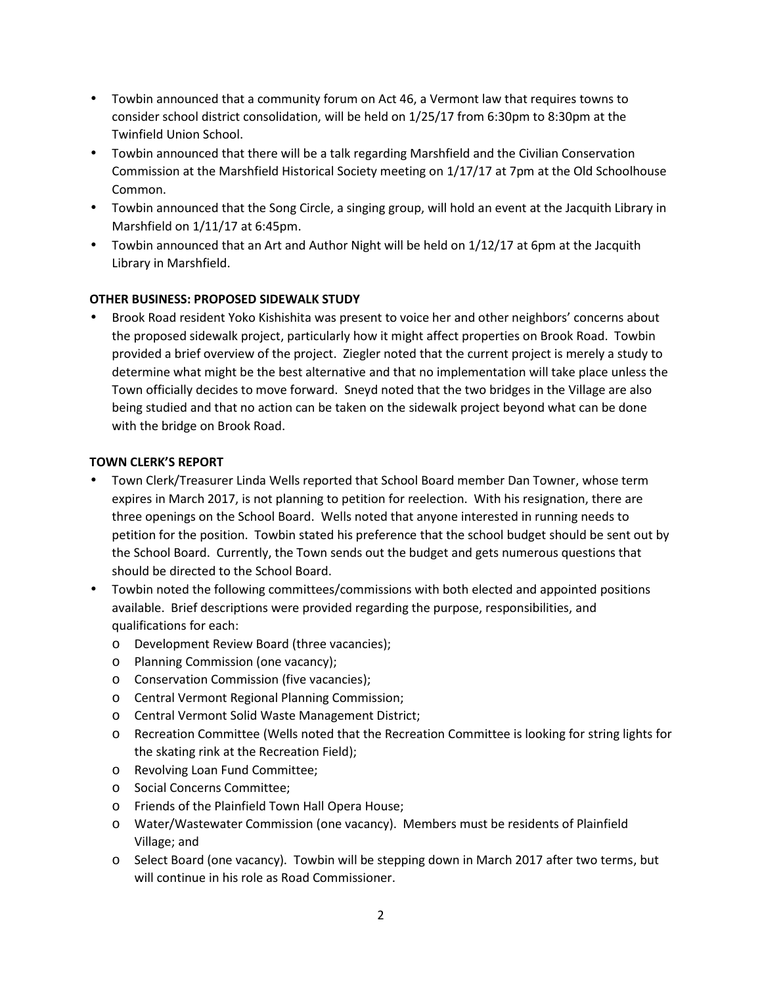- Towbin announced that a community forum on Act 46, a Vermont law that requires towns to consider school district consolidation, will be held on 1/25/17 from 6:30pm to 8:30pm at the Twinfield Union School.
- Towbin announced that there will be a talk regarding Marshfield and the Civilian Conservation Commission at the Marshfield Historical Society meeting on 1/17/17 at 7pm at the Old Schoolhouse Common.
- Towbin announced that the Song Circle, a singing group, will hold an event at the Jacquith Library in Marshfield on 1/11/17 at 6:45pm.
- Towbin announced that an Art and Author Night will be held on 1/12/17 at 6pm at the Jacquith Library in Marshfield.

## **OTHER BUSINESS: PROPOSED SIDEWALK STUDY**

 Brook Road resident Yoko Kishishita was present to voice her and other neighbors' concerns about the proposed sidewalk project, particularly how it might affect properties on Brook Road. Towbin provided a brief overview of the project. Ziegler noted that the current project is merely a study to determine what might be the best alternative and that no implementation will take place unless the Town officially decides to move forward. Sneyd noted that the two bridges in the Village are also being studied and that no action can be taken on the sidewalk project beyond what can be done with the bridge on Brook Road.

## **TOWN CLERK'S REPORT**

- Town Clerk/Treasurer Linda Wells reported that School Board member Dan Towner, whose term expires in March 2017, is not planning to petition for reelection. With his resignation, there are three openings on the School Board. Wells noted that anyone interested in running needs to petition for the position. Towbin stated his preference that the school budget should be sent out by the School Board. Currently, the Town sends out the budget and gets numerous questions that should be directed to the School Board.
- Towbin noted the following committees/commissions with both elected and appointed positions available. Brief descriptions were provided regarding the purpose, responsibilities, and qualifications for each:
	- o Development Review Board (three vacancies);
	- o Planning Commission (one vacancy);
	- o Conservation Commission (five vacancies);
	- o Central Vermont Regional Planning Commission;
	- o Central Vermont Solid Waste Management District;
	- o Recreation Committee (Wells noted that the Recreation Committee is looking for string lights for the skating rink at the Recreation Field);
	- o Revolving Loan Fund Committee;
	- o Social Concerns Committee;
	- o Friends of the Plainfield Town Hall Opera House;
	- o Water/Wastewater Commission (one vacancy). Members must be residents of Plainfield Village; and
	- o Select Board (one vacancy). Towbin will be stepping down in March 2017 after two terms, but will continue in his role as Road Commissioner.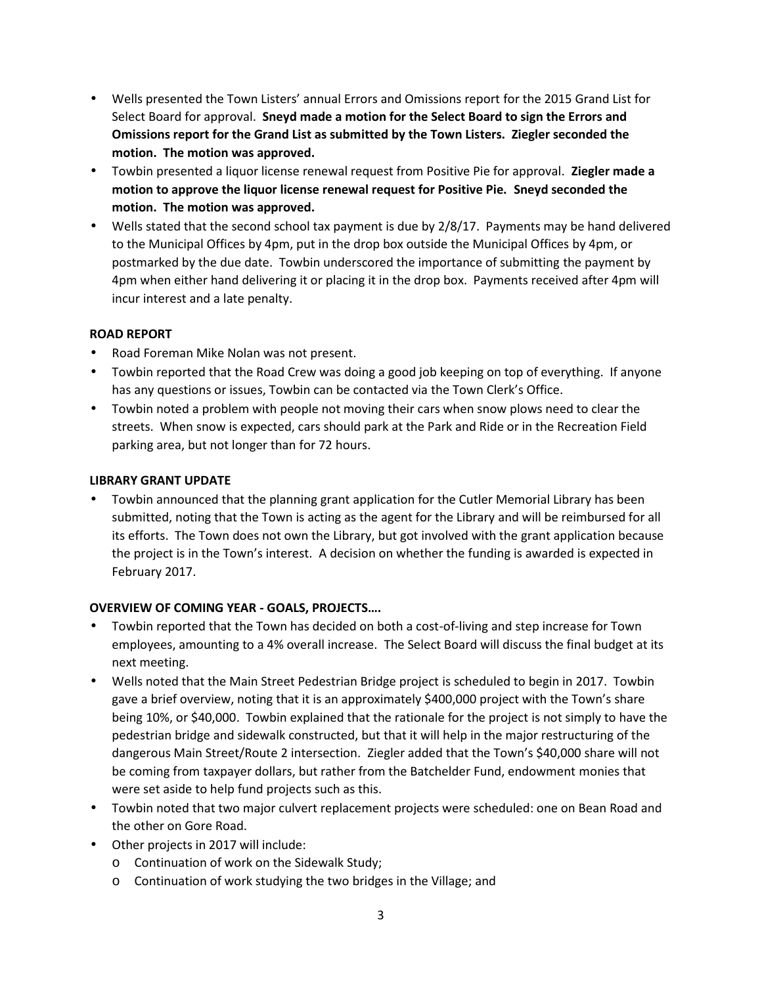- Wells presented the Town Listers' annual Errors and Omissions report for the 2015 Grand List for Select Board for approval. **Sneyd made a motion for the Select Board to sign the Errors and Omissions report for the Grand List as submitted by the Town Listers. Ziegler seconded the motion. The motion was approved.**
- Towbin presented a liquor license renewal request from Positive Pie for approval. **Ziegler made a motion to approve the liquor license renewal request for Positive Pie. Sneyd seconded the motion. The motion was approved.**
- Wells stated that the second school tax payment is due by 2/8/17. Payments may be hand delivered to the Municipal Offices by 4pm, put in the drop box outside the Municipal Offices by 4pm, or postmarked by the due date. Towbin underscored the importance of submitting the payment by 4pm when either hand delivering it or placing it in the drop box. Payments received after 4pm will incur interest and a late penalty.

# **ROAD REPORT**

- Road Foreman Mike Nolan was not present.
- Towbin reported that the Road Crew was doing a good job keeping on top of everything. If anyone has any questions or issues, Towbin can be contacted via the Town Clerk's Office.
- Towbin noted a problem with people not moving their cars when snow plows need to clear the streets. When snow is expected, cars should park at the Park and Ride or in the Recreation Field parking area, but not longer than for 72 hours.

# **LIBRARY GRANT UPDATE**

 Towbin announced that the planning grant application for the Cutler Memorial Library has been submitted, noting that the Town is acting as the agent for the Library and will be reimbursed for all its efforts. The Town does not own the Library, but got involved with the grant application because the project is in the Town's interest. A decision on whether the funding is awarded is expected in February 2017.

# **OVERVIEW OF COMING YEAR - GOALS, PROJECTS….**

- Towbin reported that the Town has decided on both a cost-of-living and step increase for Town employees, amounting to a 4% overall increase. The Select Board will discuss the final budget at its next meeting.
- Wells noted that the Main Street Pedestrian Bridge project is scheduled to begin in 2017. Towbin gave a brief overview, noting that it is an approximately \$400,000 project with the Town's share being 10%, or \$40,000. Towbin explained that the rationale for the project is not simply to have the pedestrian bridge and sidewalk constructed, but that it will help in the major restructuring of the dangerous Main Street/Route 2 intersection. Ziegler added that the Town's \$40,000 share will not be coming from taxpayer dollars, but rather from the Batchelder Fund, endowment monies that were set aside to help fund projects such as this.
- Towbin noted that two major culvert replacement projects were scheduled: one on Bean Road and the other on Gore Road.
- Other projects in 2017 will include:
	- o Continuation of work on the Sidewalk Study;
	- o Continuation of work studying the two bridges in the Village; and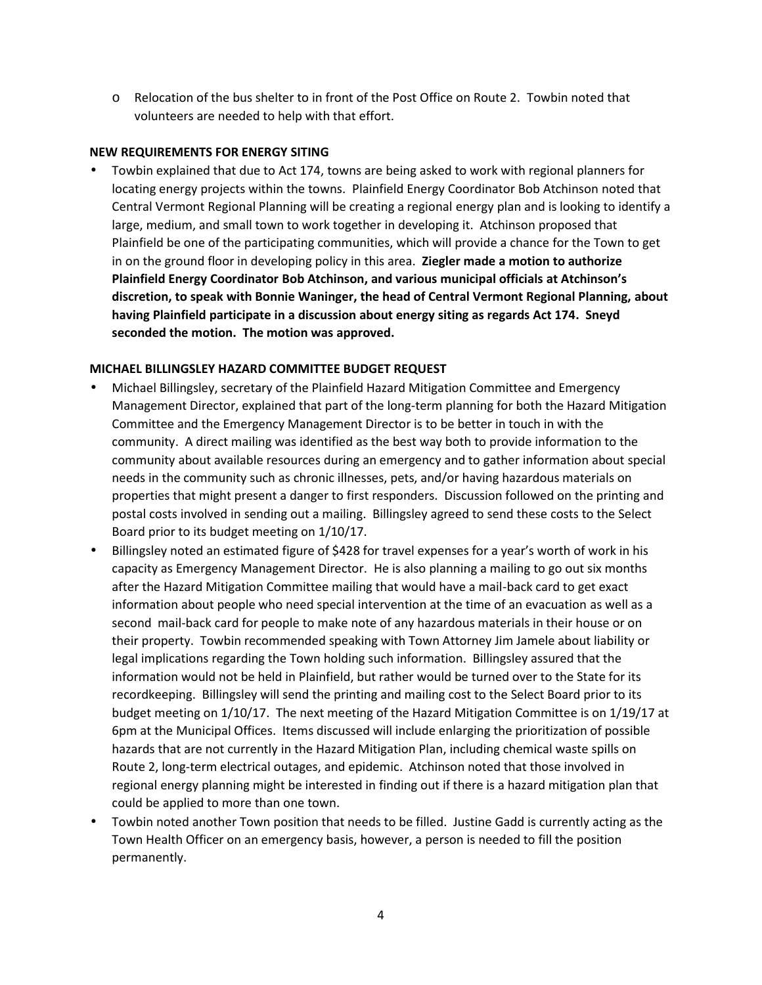o Relocation of the bus shelter to in front of the Post Office on Route 2. Towbin noted that volunteers are needed to help with that effort.

#### **NEW REQUIREMENTS FOR ENERGY SITING**

 Towbin explained that due to Act 174, towns are being asked to work with regional planners for locating energy projects within the towns. Plainfield Energy Coordinator Bob Atchinson noted that Central Vermont Regional Planning will be creating a regional energy plan and is looking to identify a large, medium, and small town to work together in developing it. Atchinson proposed that Plainfield be one of the participating communities, which will provide a chance for the Town to get in on the ground floor in developing policy in this area. **Ziegler made a motion to authorize Plainfield Energy Coordinator Bob Atchinson, and various municipal officials at Atchinson's discretion, to speak with Bonnie Waninger, the head of Central Vermont Regional Planning, about having Plainfield participate in a discussion about energy siting as regards Act 174. Sneyd seconded the motion. The motion was approved.**

## **MICHAEL BILLINGSLEY HAZARD COMMITTEE BUDGET REQUEST**

- Michael Billingsley, secretary of the Plainfield Hazard Mitigation Committee and Emergency Management Director, explained that part of the long-term planning for both the Hazard Mitigation Committee and the Emergency Management Director is to be better in touch in with the community. A direct mailing was identified as the best way both to provide information to the community about available resources during an emergency and to gather information about special needs in the community such as chronic illnesses, pets, and/or having hazardous materials on properties that might present a danger to first responders. Discussion followed on the printing and postal costs involved in sending out a mailing. Billingsley agreed to send these costs to the Select Board prior to its budget meeting on 1/10/17.
- Billingsley noted an estimated figure of \$428 for travel expenses for a year's worth of work in his capacity as Emergency Management Director. He is also planning a mailing to go out six months after the Hazard Mitigation Committee mailing that would have a mail-back card to get exact information about people who need special intervention at the time of an evacuation as well as a second mail-back card for people to make note of any hazardous materials in their house or on their property. Towbin recommended speaking with Town Attorney Jim Jamele about liability or legal implications regarding the Town holding such information. Billingsley assured that the information would not be held in Plainfield, but rather would be turned over to the State for its recordkeeping. Billingsley will send the printing and mailing cost to the Select Board prior to its budget meeting on 1/10/17. The next meeting of the Hazard Mitigation Committee is on 1/19/17 at 6pm at the Municipal Offices. Items discussed will include enlarging the prioritization of possible hazards that are not currently in the Hazard Mitigation Plan, including chemical waste spills on Route 2, long-term electrical outages, and epidemic. Atchinson noted that those involved in regional energy planning might be interested in finding out if there is a hazard mitigation plan that could be applied to more than one town.
- Towbin noted another Town position that needs to be filled. Justine Gadd is currently acting as the Town Health Officer on an emergency basis, however, a person is needed to fill the position permanently.